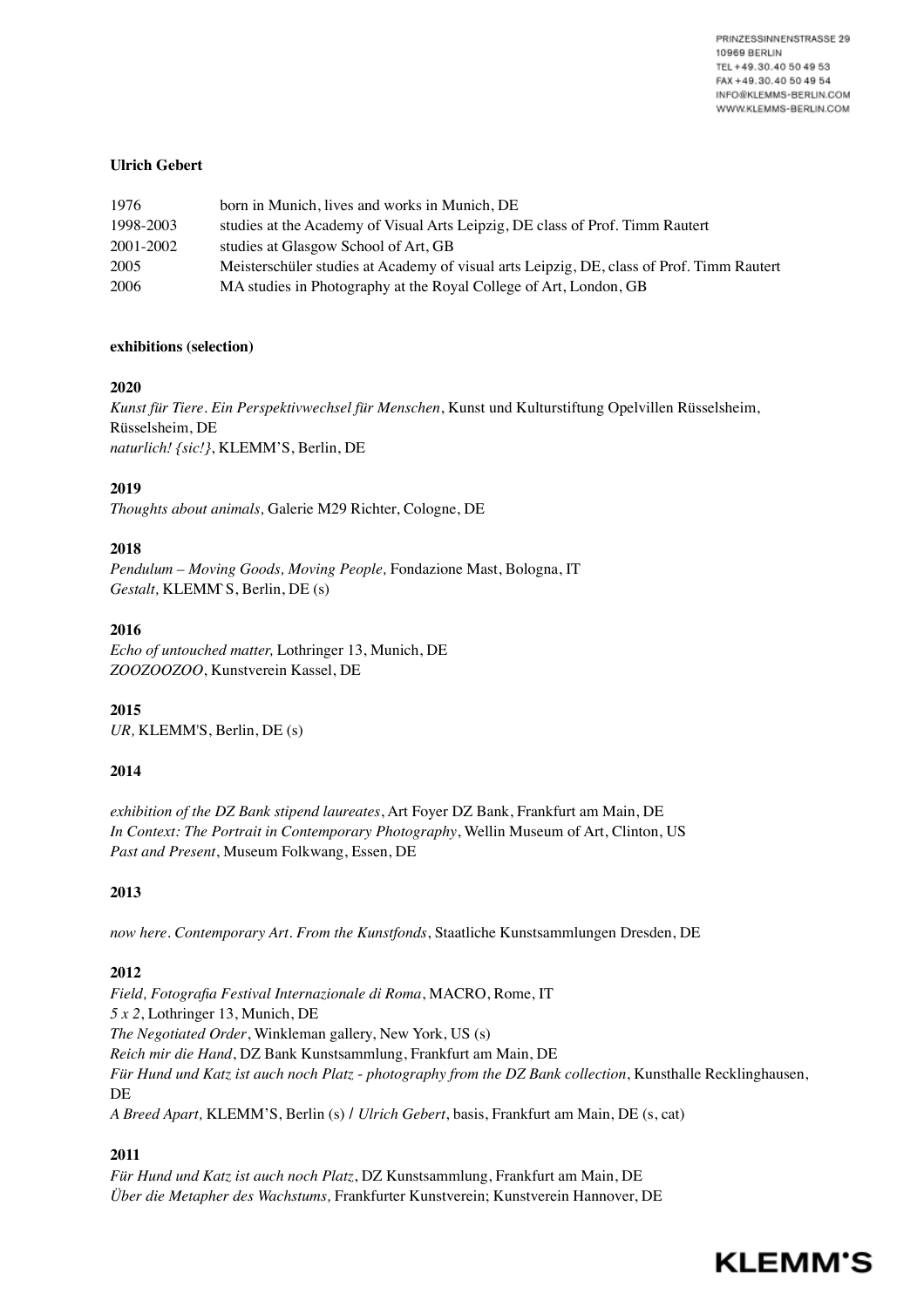PRINZESSINNENSTRASSE 29 10969 BERLIN TEL +49.30.40 50 49 53 FAX +49.30.40 50 49 54 INFO@KLEMMS-BERLIN.COM WWW.KLEMMS-BERLIN.COM

## **Ulrich Gebert**

| 1976      | born in Munich, lives and works in Munich, DE                                             |
|-----------|-------------------------------------------------------------------------------------------|
| 1998-2003 | studies at the Academy of Visual Arts Leipzig, DE class of Prof. Timm Rautert             |
| 2001-2002 | studies at Glasgow School of Art, GB                                                      |
| 2005      | Meisterschüler studies at Academy of visual arts Leipzig, DE, class of Prof. Timm Rautert |
| 2006      | MA studies in Photography at the Royal College of Art, London, GB                         |

#### **exhibitions (selection)**

## **2020**

*Kunst für Tiere. Ein Perspektivwechsel für Menschen*, Kunst und Kulturstiftung Opelvillen Rüsselsheim, Rüsselsheim, DE *naturlich! {sic!}*, KLEMM'S, Berlin, DE

# **2019**

*Thoughts about animals,* Galerie M29 Richter, Cologne, DE

## **2018**

*Pendulum – Moving Goods, Moving People,* Fondazione Mast, Bologna, IT *Gestalt,* KLEMM`S, Berlin, DE (s)

## **2016**

*Echo of untouched matter,* Lothringer 13, Munich, DE *ZOOZOOZOO*, Kunstverein Kassel, DE

**2015** *UR,* KLEMM'S, Berlin, DE (s)

# **2014**

*exhibition of the DZ Bank stipend laureates*, Art Foyer DZ Bank, Frankfurt am Main, DE *In Context: The Portrait in Contemporary Photography*, Wellin Museum of Art, Clinton, US *Past and Present*, Museum Folkwang, Essen, DE

# **2013**

*now here. Contemporary Art. From the Kunstfonds*, Staatliche Kunstsammlungen Dresden, DE

# **2012**

*Field, Fotografia Festival Internazionale di Roma*, MACRO, Rome, IT *5 x 2*, Lothringer 13, Munich, DE *The Negotiated Order*, Winkleman gallery, New York, US (s) *Reich mir die Hand*, DZ Bank Kunstsammlung, Frankfurt am Main, DE *Für Hund und Katz ist auch noch Platz* - *photography from the DZ Bank collection*, Kunsthalle Recklinghausen, DE *A Breed Apart,* KLEMM'S, Berlin (s) / *Ulrich Gebert*, basis, Frankfurt am Main, DE (s, cat)

# **2011**

*Für Hund und Katz ist auch noch Platz*, DZ Kunstsammlung, Frankfurt am Main, DE *Über die Metapher des Wachstums,* Frankfurter Kunstverein; Kunstverein Hannover, DE

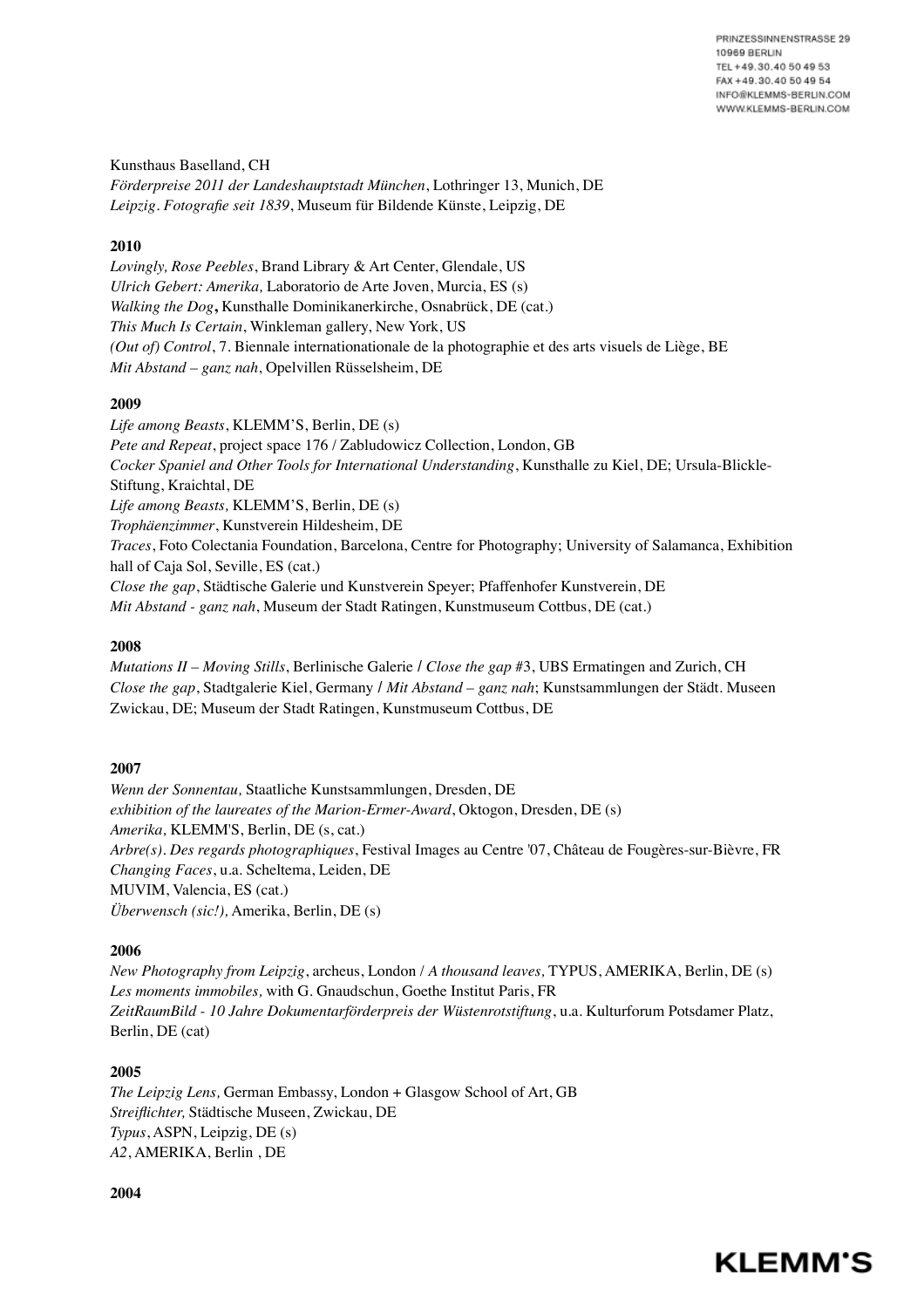Kunsthaus Baselland, CH *Förderpreise 2011 der Landeshauptstadt München*, Lothringer 13, Munich, DE *Leipzig. Fotografie seit 1839*, Museum für Bildende Künste, Leipzig, DE

# **2010**

*Lovingly, Rose Peebles*, Brand Library & Art Center, Glendale, US *Ulrich Gebert: Amerika,* Laboratorio de Arte Joven, Murcia, ES (s) *Walking the Dog***,** Kunsthalle Dominikanerkirche, Osnabrück, DE (cat.) *This Much Is Certain*, Winkleman gallery, New York, US *(Out of) Control*, 7. Biennale internationationale de la photographie et des arts visuels de Liège, BE *Mit Abstand – ganz nah*, Opelvillen Rüsselsheim, DE

## **2009**

*Life among Beasts*, KLEMM'S, Berlin, DE (s) *Pete and Repeat*, project space 176 / Zabludowicz Collection, London, GB *Cocker Spaniel and Other Tools for International Understanding*, Kunsthalle zu Kiel, DE; Ursula-Blickle-Stiftung, Kraichtal, DE *Life among Beasts,* KLEMM'S, Berlin, DE (s) *Trophäenzimmer*, Kunstverein Hildesheim, DE *Traces*, Foto Colectania Foundation, Barcelona, Centre for Photography; University of Salamanca, Exhibition hall of Caja Sol, Seville, ES (cat.) *Close the gap*, Städtische Galerie und Kunstverein Speyer; Pfaffenhofer Kunstverein, DE *Mit Abstand - ganz nah*, Museum der Stadt Ratingen, Kunstmuseum Cottbus, DE (cat.)

#### **2008**

*Mutations II – Moving Stills*, Berlinische Galerie / *Close the gap* #3, UBS Ermatingen and Zurich, CH *Close the gap*, Stadtgalerie Kiel, Germany / *Mit Abstand – ganz nah*; Kunstsammlungen der Städt. Museen Zwickau, DE; Museum der Stadt Ratingen, Kunstmuseum Cottbus, DE

#### **2007**

*Wenn der Sonnentau,* Staatliche Kunstsammlungen, Dresden, DE *exhibition of the laureates of the Marion-Ermer-Award*, Oktogon, Dresden, DE (s) *Amerika,* KLEMM'S, Berlin, DE (s, cat.) *Arbre(s). Des regards photographiques*, Festival Images au Centre '07, Château de Fougères-sur-Bièvre, FR *Changing Faces*, u.a. Scheltema, Leiden, DE MUVIM, Valencia, ES (cat.) *Überwensch (sic!),* Amerika, Berlin, DE (s)

#### **2006**

*New Photography from Leipzig*, archeus, London / *A thousand leaves,* TYPUS, AMERIKA, Berlin, DE (s) *Les moments immobiles,* with G. Gnaudschun, Goethe Institut Paris, FR *ZeitRaumBild - 10 Jahre Dokumentarförderpreis der Wüstenrotstiftung*, u.a. Kulturforum Potsdamer Platz, Berlin, DE (cat)

# **2005**

*The Leipzig Lens,* German Embassy, London + Glasgow School of Art, GB *Streiflichter,* Städtische Museen, Zwickau, DE *Typus*, ASPN, Leipzig, DE (s) *A2*, AMERIKA, Berlin , DE

**2004**